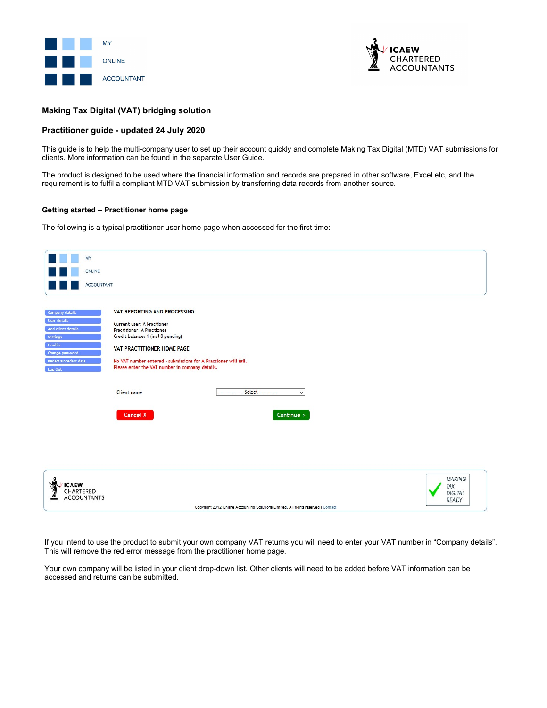



# Making Tax Digital (VAT) bridging solution

# Practitioner guide - updated 24 July 2020

This guide is to help the multi-company user to set up their account quickly and complete Making Tax Digital (MTD) VAT submissions for clients. More information can be found in the separate User Guide.

The product is designed to be used where the financial information and records are prepared in other software, Excel etc, and the requirement is to fulfil a compliant MTD VAT submission by transferring data records from another source.

## Getting started – Practitioner home page

The following is a typical practitioner user home page when accessed for the first time:

| MY<br>ONLINE<br><b>ACCOUNTANT</b>                                                                                                  |                                                                                                                                                                                                                                                                                           |                                                 |
|------------------------------------------------------------------------------------------------------------------------------------|-------------------------------------------------------------------------------------------------------------------------------------------------------------------------------------------------------------------------------------------------------------------------------------------|-------------------------------------------------|
| Company details<br>User details<br>Add client details<br>Settings<br>Credits<br>Change password<br>Redact/unredact data<br>Log Out | VAT REPORTING AND PROCESSING<br>Current user: A Practioner<br><b>Practitioner: A Practioner</b><br>Credit balance: 1 (incl 0 pending)<br>VAT PRACTITIONER HOME PAGE<br>No VAT number entered - submissions for A Practioner will fail.<br>Please enter the VAT number in company details. |                                                 |
|                                                                                                                                    | ----------------- Select -------------<br><b>Client</b> name<br>$\checkmark$<br>Cancel X<br>Continue $>$                                                                                                                                                                                  |                                                 |
| <b>ICAEW</b><br><b>CHARTERED</b><br><b>ACCOUNTANTS</b>                                                                             | Copyright 2012 Online Accounting Solutions Limited. All rights reserved   Contact                                                                                                                                                                                                         | MAKING<br>TAX<br><b>DIGITAL</b><br><b>READY</b> |

If you intend to use the product to submit your own company VAT returns you will need to enter your VAT number in "Company details". This will remove the red error message from the practitioner home page.

Your own company will be listed in your client drop-down list. Other clients will need to be added before VAT information can be accessed and returns can be submitted.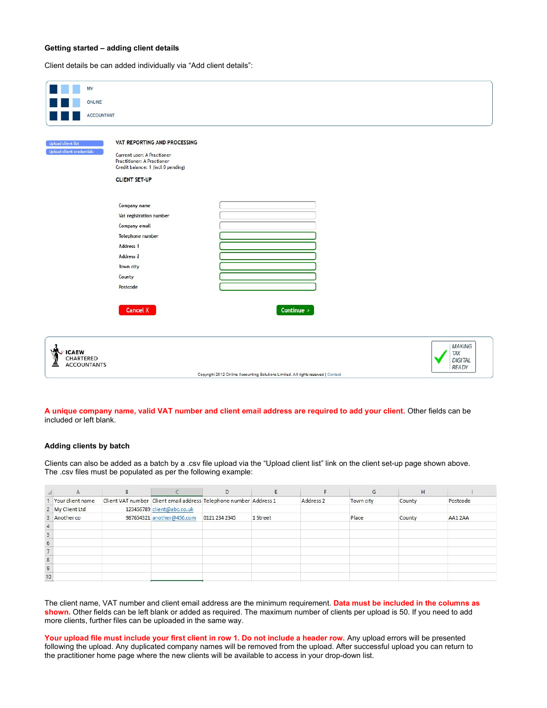# Getting started – adding client details

Client details be can added individually via "Add client details":

| MY                                              |                                                                                                                                                               |                                                                                   |                                                        |
|-------------------------------------------------|---------------------------------------------------------------------------------------------------------------------------------------------------------------|-----------------------------------------------------------------------------------|--------------------------------------------------------|
| ONLINE                                          |                                                                                                                                                               |                                                                                   |                                                        |
| ACCOUNTANT                                      |                                                                                                                                                               |                                                                                   |                                                        |
|                                                 |                                                                                                                                                               |                                                                                   |                                                        |
| Upload client list<br>Upload client credentials | VAT REPORTING AND PROCESSING<br>Current user: A Practioner<br><b>Practitioner: A Practioner</b><br>Credit balance: 1 (incl 0 pending)<br><b>CLIENT SET-UP</b> |                                                                                   |                                                        |
|                                                 | Company name<br>Vat registration number<br>Company email<br>Telephone number<br>Address <sub>1</sub><br><b>Address 2</b><br>Town city<br>County<br>Postcode   |                                                                                   |                                                        |
|                                                 | <b>Cancel X</b>                                                                                                                                               | Continue >                                                                        |                                                        |
| <b>ICAEW</b><br>CHARTERED<br>ACCOUNTANTS        |                                                                                                                                                               | Copyright 2012 Online Accounting Solutions Limited. All rights reserved   Contact | <b>MAKING</b><br>TAX<br><b>DIGITAL</b><br><b>READY</b> |

## A unique company name, valid VAT number and client email address are required to add your client. Other fields can be included or left blank.

# Adding clients by batch

Clients can also be added as a batch by a .csv file upload via the "Upload client list" link on the client set-up page shown above. The .csv files must be populated as per the following example:

|                 | $\mathsf{A}$     |                                                                   | D             |          |           | G         | H      |          |
|-----------------|------------------|-------------------------------------------------------------------|---------------|----------|-----------|-----------|--------|----------|
|                 | Your client name | Client VAT number Client email address Telephone number Address 1 |               |          | Address 2 | Town city | County | Postcode |
|                 | 2 My Client Ltd  | 123456789 client@abc.co.uk                                        |               |          |           |           |        |          |
|                 | 3 Another co     | 987654321 another@456.com                                         | 0121 234 2345 | 1 Street |           | Place     | County | AA12AA   |
|                 |                  |                                                                   |               |          |           |           |        |          |
| 5               |                  |                                                                   |               |          |           |           |        |          |
| $6\phantom{1}6$ |                  |                                                                   |               |          |           |           |        |          |
|                 |                  |                                                                   |               |          |           |           |        |          |
| $\bf{8}$        |                  |                                                                   |               |          |           |           |        |          |
| $\overline{9}$  |                  |                                                                   |               |          |           |           |        |          |
| 10              |                  |                                                                   |               |          |           |           |        |          |

The client name, VAT number and client email address are the minimum requirement. Data must be included in the columns as shown. Other fields can be left blank or added as required. The maximum number of clients per upload is 50. If you need to add more clients, further files can be uploaded in the same way.

Your upload file must include your first client in row 1. Do not include a header row. Any upload errors will be presented following the upload. Any duplicated company names will be removed from the upload. After successful upload you can return to the practitioner home page where the new clients will be available to access in your drop-down list.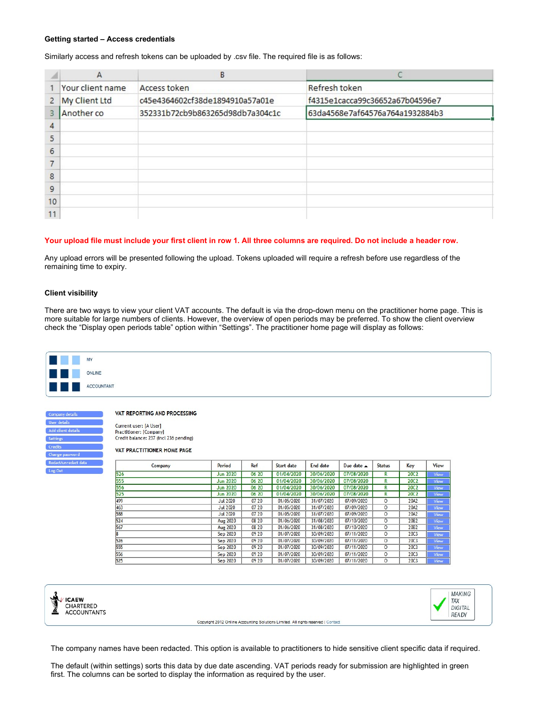### Getting started – Access credentials

Similarly access and refresh tokens can be uploaded by .csv file. The required file is as follows:

|                | $\mathsf{A}$     | B                                |                                 |
|----------------|------------------|----------------------------------|---------------------------------|
|                | Your client name | Access token                     | Refresh token                   |
| $\overline{2}$ | My Client Ltd    | c45e4364602cf38de1894910a57a01e  | f4315e1cacca99c36652a67b04596e7 |
| 3              | Another co       | 352331b72cb9b863265d98db7a304c1c | 63da4568e7af64576a764a1932884b3 |
| 4              |                  |                                  |                                 |
| 5              |                  |                                  |                                 |
| 6              |                  |                                  |                                 |
|                |                  |                                  |                                 |
| 8              |                  |                                  |                                 |
| 9              |                  |                                  |                                 |
| 10             |                  |                                  |                                 |
| 11             |                  |                                  |                                 |

## Your upload file must include your first client in row 1. All three columns are required. Do not include a header row.

Any upload errors will be presented following the upload. Tokens uploaded will require a refresh before use regardless of the remaining time to expiry.

### Client visibility

There are two ways to view your client VAT accounts. The default is via the drop-down menu on the practitioner home page. This is more suitable for large numbers of clients. However, the overview of open periods may be preferred. To show the client overview check the "Display open periods table" option within "Settings". The practitioner home page will display as follows:

| <b>DIA</b> | <b>MY</b>  |  |
|------------|------------|--|
| 日回的        | ONLINE     |  |
|            | ACCOUNTANT |  |

VAT REPORTING AND PROCESSING

Current user: [A User] Practitioner: [Company] Credit balance: 237 (incl 236 pending)

#### VAT PRACTITIONER HOME PAGE

| Company | Period          | Ref   | Start date | End date   | Due date $\triangle$ | <b>Status</b> | Key              | View |
|---------|-----------------|-------|------------|------------|----------------------|---------------|------------------|------|
| 526     | <b>Jun 2020</b> | 06 20 | 01/04/2020 | 30/06/2020 | 07/08/2020           | R             | <b>20C2</b>      | View |
| 555     | <b>Jun 2020</b> | 06 20 | 01/04/2020 | 30/06/2020 | 07/08/2020           | R             | <b>20C2</b>      | View |
| 556     | <b>Jun 2020</b> | 06 20 | 01/04/2020 | 30/06/2020 | 07/08/2020           | R             | <b>20C2</b>      | View |
| 525     | <b>Jun 2020</b> | 06 20 | 01/04/2020 | 30/06/2020 | 07/08/2020           | R             | <b>20C2</b>      | View |
| 499     | <b>Jul 2020</b> | 07 20 | 01/05/2020 | 31/07/2020 | 07/09/2020           | $\Omega$      | 20A2             | View |
| 463     | <b>Jul 2020</b> | 07 20 | 01/05/2020 | 31/07/2020 | 07/09/2020           | O             | 20A2             | View |
| 588     | <b>Jul 2020</b> | 07 20 | 01/05/2020 | 31/07/2020 | 07/09/2020           | $\circ$       | 20A2             | View |
| 524     | <b>Aug 2020</b> | 08 20 | 01/06/2020 | 31/08/2020 | 07/10/2020           | $\circ$       | 20B <sub>2</sub> | View |
| 567     | <b>Aug 2020</b> | 08 20 | 01/06/2020 | 31/08/2020 | 07/10/2020           | 0             | 20B <sub>2</sub> | View |
| 18      | Sep 2020        | 09 20 | 01/07/2020 | 30/09/2020 | 07/11/2020           | O             | <b>20C3</b>      | View |
| 526     | Sep 2020        | 09 20 | 01/07/2020 | 30/09/2020 | 07/11/2020           | $\circ$       | <b>20C3</b>      | View |
| 555     | Sep 2020        | 09 20 | 01/07/2020 | 30/09/2020 | 07/11/2020           | $\circ$       | <b>20C3</b>      | View |
| 556     | Sep 2020        | 09 20 | 01/07/2020 | 30/09/2020 | 07/11/2020           | O             | <b>20C3</b>      | View |
| 525     | Sep 2020        | 09 20 | 01/07/2020 | 30/09/2020 | 07/11/2020           | $\circ$       | 20C3             | View |





Copyright 2012 Online Accounting Solutions Limited. All rights reserved | Contact

The company names have been redacted. This option is available to practitioners to hide sensitive client specific data if required.

The default (within settings) sorts this data by due date ascending. VAT periods ready for submission are highlighted in green first. The columns can be sorted to display the information as required by the user.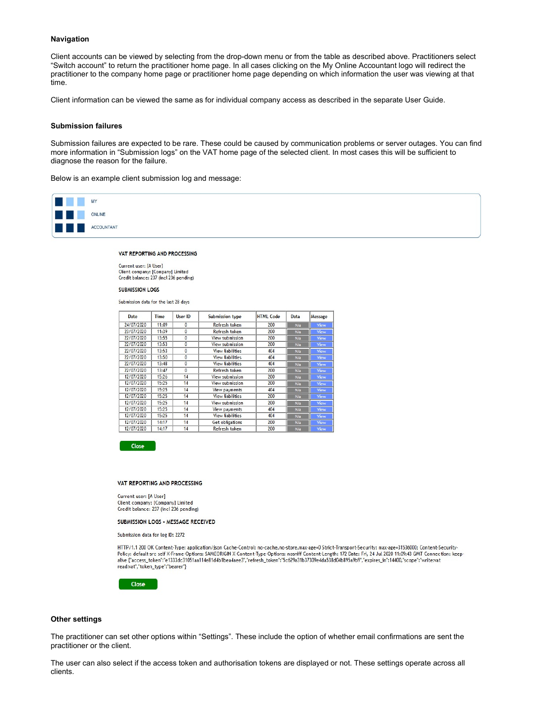### Navigation

Client accounts can be viewed by selecting from the drop-down menu or from the table as described above. Practitioners select "Switch account" to return the practitioner home page. In all cases clicking on the My Online Accountant logo will redirect the practitioner to the company home page or practitioner home page depending on which information the user was viewing at that time.

Client information can be viewed the same as for individual company access as described in the separate User Guide.

### Submission failures

Submission failures are expected to be rare. These could be caused by communication problems or server outages. You can find more information in "Submission logs" on the VAT home page of the selected client. In most cases this will be sufficient to diagnose the reason for the failure.

Below is an example client submission log and message:



#### VAT REPORTING AND PROCESSING

Current user: [A User] Client company: [Company] Limited Credit balance: 237 (incl 236 pending)

#### **SUBMISSION LOGS**

Submission data for the last 28 days

| Date       | Time  | User ID      | Submission type         | <b>HTML Code</b> | Data | Message |
|------------|-------|--------------|-------------------------|------------------|------|---------|
| 24/07/2020 | 11:09 | 0            | Refresh token<br>200    |                  | N/a  | View    |
| 23/07/2020 | 11:39 | $\mathbf{0}$ | Refresh token           | 200              |      | View    |
| 22/07/2020 | 13:55 | 0            | View submission         | 200              | N/a  | View    |
| 22/07/2020 | 13:53 | $\mathbf{0}$ | View submission         | 200              | N/a  | View    |
| 22/07/2020 | 13:53 | $\mathbf{0}$ | <b>View liabilities</b> | 404              | N/a  | View    |
| 22/07/2020 | 13:50 | $\mathbf{0}$ | <b>View liabilities</b> | 404              | N/a  | View    |
| 22/07/2020 | 13:48 | $\mathbf{0}$ | <b>View liabilities</b> | 404              | N/a  | View    |
| 22/07/2020 | 13:47 | $\mathbf{0}$ | Refresh token           | 200              | N/a  | View    |
| 12/07/2020 | 15:26 | 14           | View submission         | 200              | N/a  | View    |
| 12/07/2020 | 15:25 | 14           | View submission         | 200              | N/a  | View    |
| 12/07/2020 | 15:25 | 14           | View payments           | 404              | N/a  | View    |
| 12/07/2020 | 15:25 | 14           | <b>View liabilities</b> | 200              | N/a  | View    |
| 12/07/2020 | 15:25 | 14           | View submission         | 200              | N/a  | View    |
| 12/07/2020 | 15:25 | 14           | View payments           | 404              | N/a  | View    |
| 12/07/2020 | 15:25 | 14           | <b>View liabilities</b> | 404              | N/a  | View    |
| 12/07/2020 | 14:17 | 14           | Get obligations         | 200              | N/a  | View    |
| 12/07/2020 | 14:17 | 14           | Refresh token           | 200              | N/a  | View    |

Close

#### VAT REPORTING AND PROCESSING

Current user: [A User] Client company: [Company] Limited Credit balance: 237 (incl 236 pending)

### SUBMISSION LOGS - MESSAGE RECEIVED

Submission data for log ID: 2272

HTTP/1.1 200 OK Content-Type: application/json Cache-Control: no-cache,no-store,max-age=0 Strict-Transport-Security: max-age=31536000; Content-Security-Policy: default-src self X-Frame-Options: SAMEORIGIN X-Content-Type-Options: nosniff Content-Length: 172 Date: Fri, 24 Jul 2020 11:09:43 GMT Connection: keep-<br>alive {"access\_token":"e1333dc31051aa114e81d4b1bea4aee3","refre read:vat","token\_type":"bearer"}



### Other settings

The practitioner can set other options within "Settings". These include the option of whether email confirmations are sent the practitioner or the client.

The user can also select if the access token and authorisation tokens are displayed or not. These settings operate across all clients.